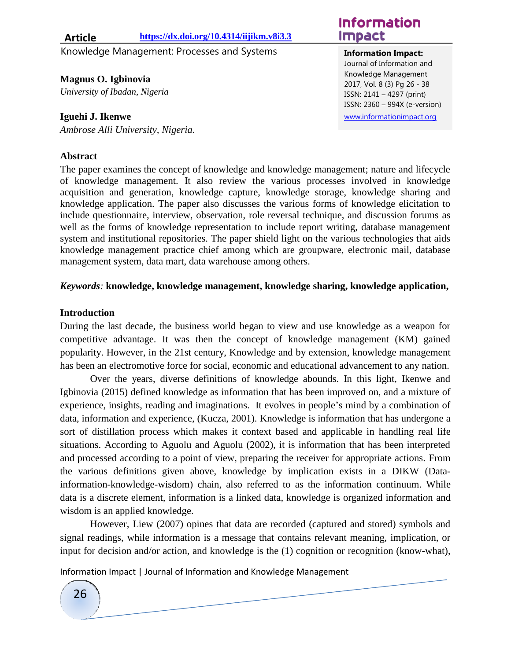**Article <https://dx.doi.org/10.4314/iijikm.v8i3.3>**

Knowledge Management: Processes and Systems

**Magnus O. Igbinovia**

*University of Ibadan, Nigeria*

# **Iguehi J. Ikenwe**

*Ambrose Alli University, Nigeria.*

### **Abstract**

**Information** Impact

**Information Impact:**  Journal of Information and Knowledge Management 2017, Vol. 8 (3) Pg 26 - 38 ISSN: 2141 – 4297 (print) ISSN: 2360 – 994X (e-version) [www.informationimpact.org](http://www.informationimpact.org/)

The paper examines the concept of knowledge and knowledge management; nature and lifecycle of knowledge management. It also review the various processes involved in knowledge acquisition and generation, knowledge capture, knowledge storage, knowledge sharing and knowledge application. The paper also discusses the various forms of knowledge elicitation to include questionnaire, interview, observation, role reversal technique, and discussion forums as well as the forms of knowledge representation to include report writing, database management system and institutional repositories. The paper shield light on the various technologies that aids knowledge management practice chief among which are groupware, electronic mail, database management system, data mart, data warehouse among others.

### *Keywords:* **knowledge, knowledge management, knowledge sharing, knowledge application,**

#### **Introduction**

During the last decade, the business world began to view and use knowledge as a weapon for competitive advantage. It was then the concept of knowledge management (KM) gained popularity. However, in the 21st century, Knowledge and by extension, knowledge management has been an electromotive force for social, economic and educational advancement to any nation.

Over the years, diverse definitions of knowledge abounds. In this light, Ikenwe and Igbinovia (2015) defined knowledge as information that has been improved on, and a mixture of experience, insights, reading and imaginations. It evolves in people's mind by a combination of data, information and experience, (Kucza, 2001). Knowledge is information that has undergone a sort of distillation process which makes it context based and applicable in handling real life situations. According to Aguolu and Aguolu (2002), it is information that has been interpreted and processed according to a point of view, preparing the receiver for appropriate actions. From the various definitions given above, knowledge by implication exists in a DIKW (Datainformation-knowledge-wisdom) chain, also referred to as the information continuum. While data is a discrete element, information is a linked data, knowledge is organized information and wisdom is an applied knowledge.

However, Liew (2007) opines that data are recorded (captured and stored) symbols and signal readings, while information is a message that contains relevant meaning, implication, or input for decision and/or action, and knowledge is the (1) cognition or recognition (know-what),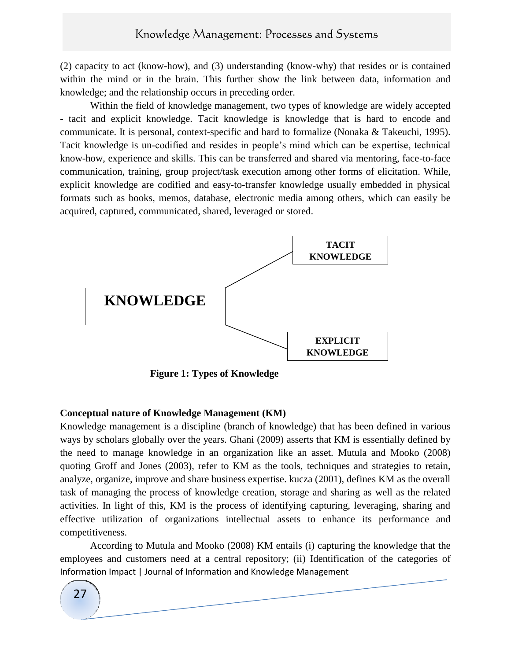(2) capacity to act (know-how), and (3) understanding (know-why) that resides or is contained within the mind or in the brain. This further show the link between data, information and knowledge; and the relationship occurs in preceding order.

Within the field of knowledge management, two types of knowledge are widely accepted - tacit and explicit knowledge. Tacit knowledge is knowledge that is hard to encode and communicate. It is personal, context-specific and hard to formalize (Nonaka & Takeuchi, 1995). Tacit knowledge is un-codified and resides in people's mind which can be expertise, technical know-how, experience and skills. This can be transferred and shared via mentoring, face-to-face communication, training, group project/task execution among other forms of elicitation. While, explicit knowledge are codified and easy-to-transfer knowledge usually embedded in physical formats such as books, memos, database, electronic media among others, which can easily be acquired, captured, communicated, shared, leveraged or stored.



**Figure 1: Types of Knowledge**

#### **Conceptual nature of Knowledge Management (KM)**

Knowledge management is a discipline (branch of knowledge) that has been defined in various ways by scholars globally over the years. Ghani (2009) asserts that KM is essentially defined by the need to manage knowledge in an organization like an asset. Mutula and Mooko (2008) quoting Groff and Jones (2003), refer to KM as the tools, techniques and strategies to retain, analyze, organize, improve and share business expertise. kucza (2001), defines KM as the overall task of managing the process of knowledge creation, storage and sharing as well as the related activities. In light of this, KM is the process of identifying capturing, leveraging, sharing and effective utilization of organizations intellectual assets to enhance its performance and competitiveness.

Information Impact | Journal of Information and Knowledge Management According to Mutula and Mooko (2008) KM entails (i) capturing the knowledge that the employees and customers need at a central repository; (ii) Identification of the categories of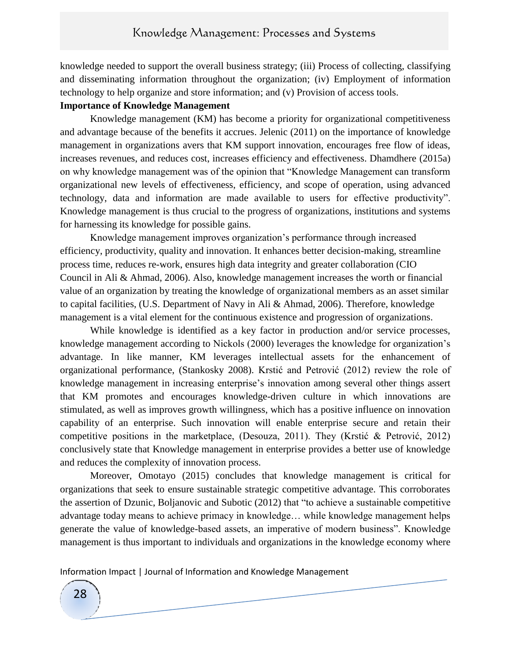knowledge needed to support the overall business strategy; (iii) Process of collecting, classifying and disseminating information throughout the organization; (iv) Employment of information technology to help organize and store information; and (v) Provision of access tools.

#### **Importance of Knowledge Management**

Knowledge management (KM) has become a priority for organizational competitiveness and advantage because of the benefits it accrues. Jelenic (2011) on the importance of knowledge management in organizations avers that KM support innovation, encourages free flow of ideas, increases revenues, and reduces cost, increases efficiency and effectiveness. Dhamdhere (2015a) on why knowledge management was of the opinion that "Knowledge Management can transform organizational new levels of effectiveness, efficiency, and scope of operation, using advanced technology, data and information are made available to users for effective productivity". Knowledge management is thus crucial to the progress of organizations, institutions and systems for harnessing its knowledge for possible gains.

Knowledge management improves organization's performance through increased efficiency, productivity, quality and innovation. It enhances better decision-making, streamline process time, reduces re-work, ensures high data integrity and greater collaboration (CIO Council in Ali & Ahmad, 2006). Also, knowledge management increases the worth or financial value of an organization by treating the knowledge of organizational members as an asset similar to capital facilities, (U.S. Department of Navy in Ali & Ahmad, 2006). Therefore, knowledge management is a vital element for the continuous existence and progression of organizations.

While knowledge is identified as a key factor in production and/or service processes, knowledge management according to Nickols (2000) leverages the knowledge for organization's advantage. In like manner, KM leverages intellectual assets for the enhancement of organizational performance, (Stankosky 2008). Krstić and Petrović (2012) review the role of knowledge management in increasing enterprise's innovation among several other things assert that KM promotes and encourages knowledge-driven culture in which innovations are stimulated, as well as improves growth willingness, which has a positive influence on innovation capability of an enterprise. Such innovation will enable enterprise secure and retain their competitive positions in the marketplace, (Desouza, 2011). They (Krstić & Petrović, 2012) conclusively state that Knowledge management in enterprise provides a better use of knowledge and reduces the complexity of innovation process.

Moreover, Omotayo (2015) concludes that knowledge management is critical for organizations that seek to ensure sustainable strategic competitive advantage. This corroborates the assertion of Dzunic, Boljanovic and Subotic (2012) that "to achieve a sustainable competitive advantage today means to achieve primacy in knowledge… while knowledge management helps generate the value of knowledge-based assets, an imperative of modern business". Knowledge management is thus important to individuals and organizations in the knowledge economy where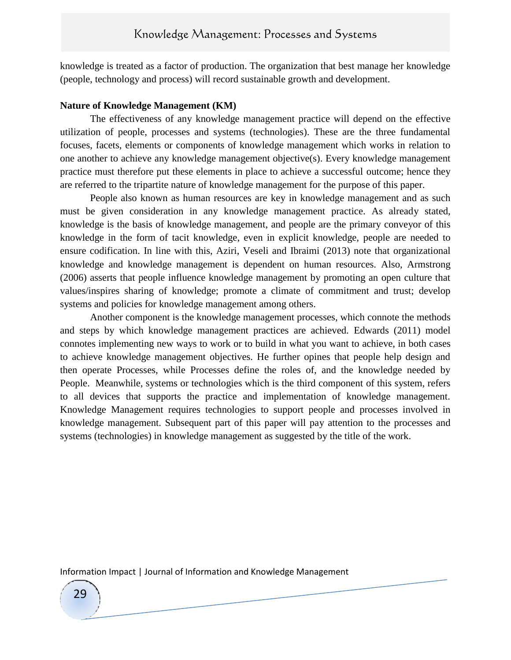knowledge is treated as a factor of production. The organization that best manage her knowledge (people, technology and process) will record sustainable growth and development.

#### **Nature of Knowledge Management (KM)**

The effectiveness of any knowledge management practice will depend on the effective utilization of people, processes and systems (technologies). These are the three fundamental focuses, facets, elements or components of knowledge management which works in relation to one another to achieve any knowledge management objective(s). Every knowledge management practice must therefore put these elements in place to achieve a successful outcome; hence they are referred to the tripartite nature of knowledge management for the purpose of this paper.

People also known as human resources are key in knowledge management and as such must be given consideration in any knowledge management practice. As already stated, knowledge is the basis of knowledge management, and people are the primary conveyor of this knowledge in the form of tacit knowledge, even in explicit knowledge, people are needed to ensure codification. In line with this, Aziri, Veseli and Ibraimi (2013) note that organizational knowledge and knowledge management is dependent on human resources. Also, Armstrong (2006) asserts that people influence knowledge management by promoting an open culture that values/inspires sharing of knowledge; promote a climate of commitment and trust; develop systems and policies for knowledge management among others.

Another component is the knowledge management processes, which connote the methods and steps by which knowledge management practices are achieved. Edwards (2011) model connotes implementing new ways to work or to build in what you want to achieve, in both cases to achieve knowledge management objectives. He further opines that people help design and then operate Processes, while Processes define the roles of, and the knowledge needed by People. Meanwhile, systems or technologies which is the third component of this system, refers to all devices that supports the practice and implementation of knowledge management. Knowledge Management requires technologies to support people and processes involved in knowledge management. Subsequent part of this paper will pay attention to the processes and systems (technologies) in knowledge management as suggested by the title of the work.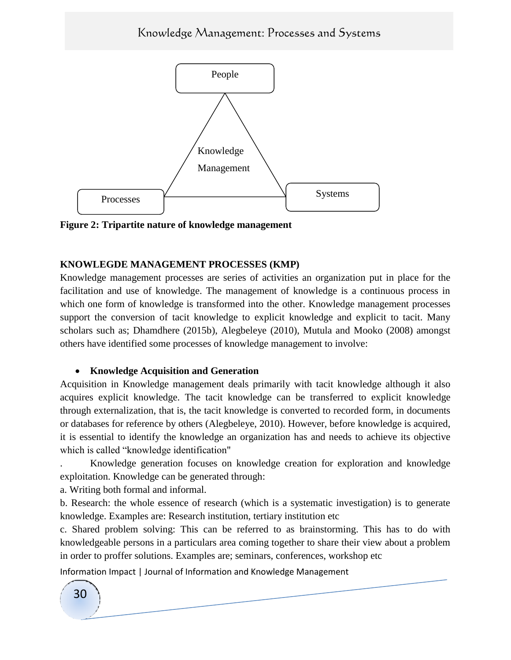

**Figure 2: Tripartite nature of knowledge management**

# **KNOWLEGDE MANAGEMENT PROCESSES (KMP)**

Knowledge management processes are series of activities an organization put in place for the facilitation and use of knowledge. The management of knowledge is a continuous process in which one form of knowledge is transformed into the other. Knowledge management processes support the conversion of tacit knowledge to explicit knowledge and explicit to tacit. Many scholars such as; Dhamdhere (2015b), Alegbeleye (2010), Mutula and Mooko (2008) amongst others have identified some processes of knowledge management to involve:

# **Knowledge Acquisition and Generation**

Acquisition in Knowledge management deals primarily with tacit knowledge although it also acquires explicit knowledge. The tacit knowledge can be transferred to explicit knowledge through externalization, that is, the tacit knowledge is converted to recorded form, in documents or databases for reference by others (Alegbeleye, 2010). However, before knowledge is acquired, it is essential to identify the knowledge an organization has and needs to achieve its objective which is called "knowledge identification"

. Knowledge generation focuses on knowledge creation for exploration and knowledge exploitation. Knowledge can be generated through:

a. Writing both formal and informal.

b. Research: the whole essence of research (which is a systematic investigation) is to generate knowledge. Examples are: Research institution, tertiary institution etc

c. Shared problem solving: This can be referred to as brainstorming. This has to do with knowledgeable persons in a particulars area coming together to share their view about a problem in order to proffer solutions. Examples are; seminars, conferences, workshop etc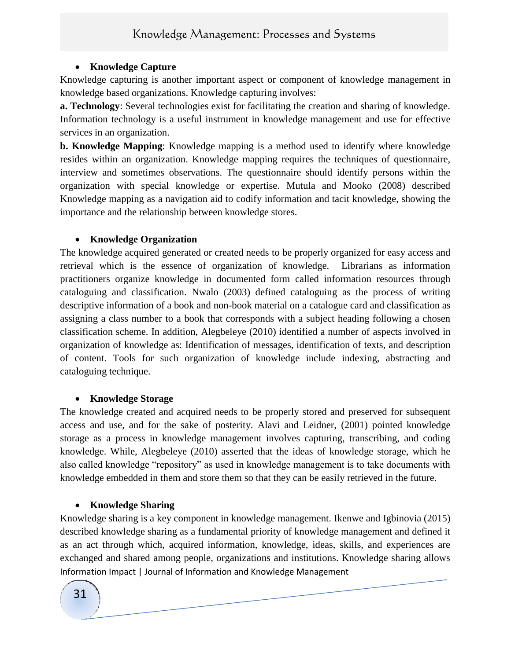# **Knowledge Capture**

Knowledge capturing is another important aspect or component of knowledge management in knowledge based organizations. Knowledge capturing involves:

**a. Technology**: Several technologies exist for facilitating the creation and sharing of knowledge. Information technology is a useful instrument in knowledge management and use for effective services in an organization.

**b. Knowledge Mapping**: Knowledge mapping is a method used to identify where knowledge resides within an organization. Knowledge mapping requires the techniques of questionnaire, interview and sometimes observations. The questionnaire should identify persons within the organization with special knowledge or expertise. Mutula and Mooko (2008) described Knowledge mapping as a navigation aid to codify information and tacit knowledge, showing the importance and the relationship between knowledge stores.

# **Knowledge Organization**

The knowledge acquired generated or created needs to be properly organized for easy access and retrieval which is the essence of organization of knowledge. Librarians as information practitioners organize knowledge in documented form called information resources through cataloguing and classification. Nwalo (2003) defined cataloguing as the process of writing descriptive information of a book and non-book material on a catalogue card and classification as assigning a class number to a book that corresponds with a subject heading following a chosen classification scheme. In addition, Alegbeleye (2010) identified a number of aspects involved in organization of knowledge as: Identification of messages, identification of texts, and description of content. Tools for such organization of knowledge include indexing, abstracting and cataloguing technique.

## **Knowledge Storage**

The knowledge created and acquired needs to be properly stored and preserved for subsequent access and use, and for the sake of posterity. Alavi and Leidner, (2001) pointed knowledge storage as a process in knowledge management involves capturing, transcribing, and coding knowledge. While, Alegbeleye (2010) asserted that the ideas of knowledge storage, which he also called knowledge "repository" as used in knowledge management is to take documents with knowledge embedded in them and store them so that they can be easily retrieved in the future.

## **Knowledge Sharing**

Information Impact | Journal of Information and Knowledge Management Knowledge sharing is a key component in knowledge management. Ikenwe and Igbinovia (2015) described knowledge sharing as a fundamental priority of knowledge management and defined it as an act through which, acquired information, knowledge, ideas, skills, and experiences are exchanged and shared among people, organizations and institutions. Knowledge sharing allows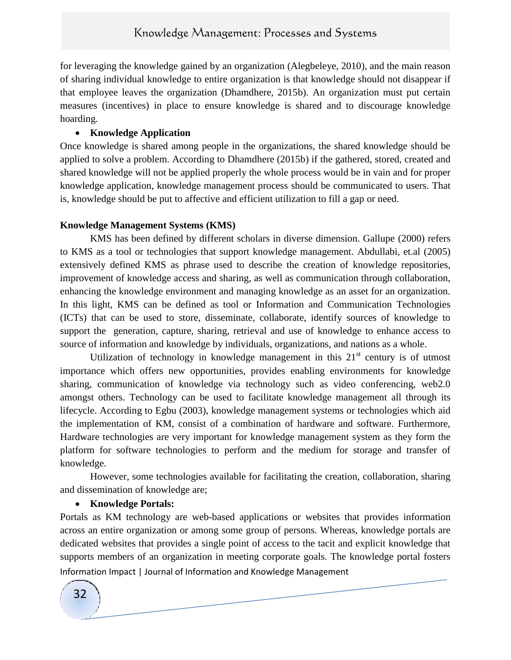for leveraging the knowledge gained by an organization (Alegbeleye, 2010), and the main reason of sharing individual knowledge to entire organization is that knowledge should not disappear if that employee leaves the organization (Dhamdhere, 2015b). An organization must put certain measures (incentives) in place to ensure knowledge is shared and to discourage knowledge hoarding.

## **Knowledge Application**

Once knowledge is shared among people in the organizations, the shared knowledge should be applied to solve a problem. According to Dhamdhere (2015b) if the gathered, stored, created and shared knowledge will not be applied properly the whole process would be in vain and for proper knowledge application, knowledge management process should be communicated to users. That is, knowledge should be put to affective and efficient utilization to fill a gap or need.

### **Knowledge Management Systems (KMS)**

KMS has been defined by different scholars in diverse dimension. Gallupe (2000) refers to KMS as a tool or technologies that support knowledge management. Abdullabi, et.al (2005) extensively defined KMS as phrase used to describe the creation of knowledge repositories, improvement of knowledge access and sharing, as well as communication through collaboration, enhancing the knowledge environment and managing knowledge as an asset for an organization. In this light, KMS can be defined as tool or Information and Communication Technologies (ICTs) that can be used to store, disseminate, collaborate, identify sources of knowledge to support the generation, capture, sharing, retrieval and use of knowledge to enhance access to source of information and knowledge by individuals, organizations, and nations as a whole.

Utilization of technology in knowledge management in this  $21<sup>st</sup>$  century is of utmost importance which offers new opportunities, provides enabling environments for knowledge sharing, communication of knowledge via technology such as video conferencing, web2.0 amongst others. Technology can be used to facilitate knowledge management all through its lifecycle. According to Egbu (2003), knowledge management systems or technologies which aid the implementation of KM, consist of a combination of hardware and software. Furthermore, Hardware technologies are very important for knowledge management system as they form the platform for software technologies to perform and the medium for storage and transfer of knowledge.

However, some technologies available for facilitating the creation, collaboration, sharing and dissemination of knowledge are;

#### **Knowledge Portals:**

Information Impact | Journal of Information and Knowledge Management Portals as KM technology are web-based applications or websites that provides information across an entire organization or among some group of persons. Whereas, knowledge portals are dedicated websites that provides a single point of access to the tacit and explicit knowledge that supports members of an organization in meeting corporate goals. The knowledge portal fosters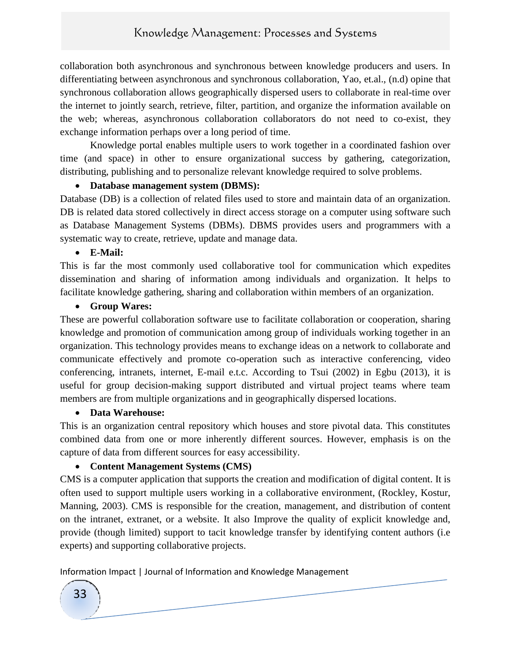collaboration both asynchronous and synchronous between knowledge producers and users. In differentiating between asynchronous and synchronous collaboration, Yao, et.al., (n.d) opine that synchronous collaboration allows geographically dispersed users to collaborate in real-time over the internet to jointly search, retrieve, filter, partition, and organize the information available on the web; whereas, asynchronous collaboration collaborators do not need to co-exist, they exchange information perhaps over a long period of time.

Knowledge portal enables multiple users to work together in a coordinated fashion over time (and space) in other to ensure organizational success by gathering, categorization, distributing, publishing and to personalize relevant knowledge required to solve problems.

## **Database management system (DBMS):**

Database (DB) is a collection of related files used to store and maintain data of an organization. DB is related data stored collectively in direct access storage on a computer using software such as Database Management Systems (DBMs). DBMS provides users and programmers with a systematic way to create, retrieve, update and manage data.

# **E-Mail:**

This is far the most commonly used collaborative tool for communication which expedites dissemination and sharing of information among individuals and organization. It helps to facilitate knowledge gathering, sharing and collaboration within members of an organization.

# **Group Wares:**

These are powerful collaboration software use to facilitate collaboration or cooperation, sharing knowledge and promotion of communication among group of individuals working together in an organization. This technology provides means to exchange ideas on a network to collaborate and communicate effectively and promote co-operation such as interactive conferencing, video conferencing, intranets, internet, E-mail e.t.c. According to Tsui (2002) in Egbu (2013), it is useful for group decision-making support distributed and virtual project teams where team members are from multiple organizations and in geographically dispersed locations.

## **Data Warehouse:**

This is an organization central repository which houses and store pivotal data. This constitutes combined data from one or more inherently different sources. However, emphasis is on the capture of data from different sources for easy accessibility.

## **Content Management Systems (CMS)**

CMS is a [computer application](https://en.wikipedia.org/wiki/Computer_program) that supports the creation and modification of digital [content.](https://en.wikipedia.org/wiki/Content_%28media%29) It is often used to support multiple users working in a [collaborative environment,](https://en.wikipedia.org/wiki/Collaborative_software) (Rockley, Kostur, Manning, 2003). CMS is responsible for the creation, management, and distribution of content on the intranet, extranet, or a website. It also Improve the quality of explicit knowledge and, provide (though limited) support to tacit knowledge transfer by identifying content authors (i.e experts) and supporting collaborative projects.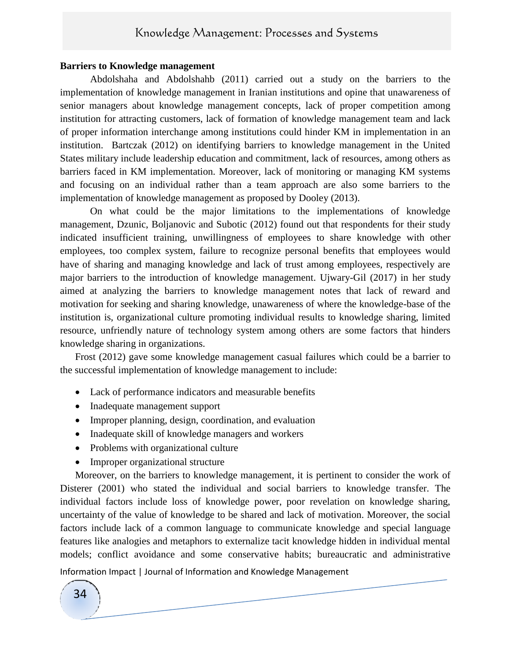#### **Barriers to Knowledge management**

Abdolshaha and Abdolshahb (2011) carried out a study on the barriers to the implementation of knowledge management in Iranian institutions and opine that unawareness of senior managers about knowledge management concepts, lack of proper competition among institution for attracting customers, lack of formation of knowledge management team and lack of proper information interchange among institutions could hinder KM in implementation in an institution. Bartczak (2012) on identifying barriers to knowledge management in the United States military include leadership education and commitment, lack of resources, among others as barriers faced in KM implementation. Moreover, lack of monitoring or managing KM systems and focusing on an individual rather than a team approach are also some barriers to the implementation of knowledge management as proposed by Dooley (2013).

On what could be the major limitations to the implementations of knowledge management, Dzunic, Boljanovic and Subotic (2012) found out that respondents for their study indicated insufficient training, unwillingness of employees to share knowledge with other employees, too complex system, failure to recognize personal benefits that employees would have of sharing and managing knowledge and lack of trust among employees, respectively are major barriers to the introduction of knowledge management. Ujwary-Gil (2017) in her study aimed at analyzing the barriers to knowledge management notes that lack of reward and motivation for seeking and sharing knowledge, unawareness of where the knowledge-base of the institution is, organizational culture promoting individual results to knowledge sharing, limited resource, unfriendly nature of technology system among others are some factors that hinders knowledge sharing in organizations.

Frost (2012) gave some knowledge management casual failures which could be a barrier to the successful implementation of knowledge management to include:

- Lack of performance indicators and measurable benefits
- Inadequate management support
- Improper planning, design, coordination, and evaluation
- Inadequate skill of knowledge managers and workers
- Problems with organizational culture
- Improper organizational structure

Information Impact | Journal of Information and Knowledge Management Moreover, on the barriers to knowledge management, it is pertinent to consider the work of Disterer (2001) who stated the individual and social barriers to knowledge transfer. The individual factors include loss of knowledge power, poor revelation on knowledge sharing, uncertainty of the value of knowledge to be shared and lack of motivation. Moreover, the social factors include lack of a common language to communicate knowledge and special language features like analogies and metaphors to externalize tacit knowledge hidden in individual mental models; conflict avoidance and some conservative habits; bureaucratic and administrative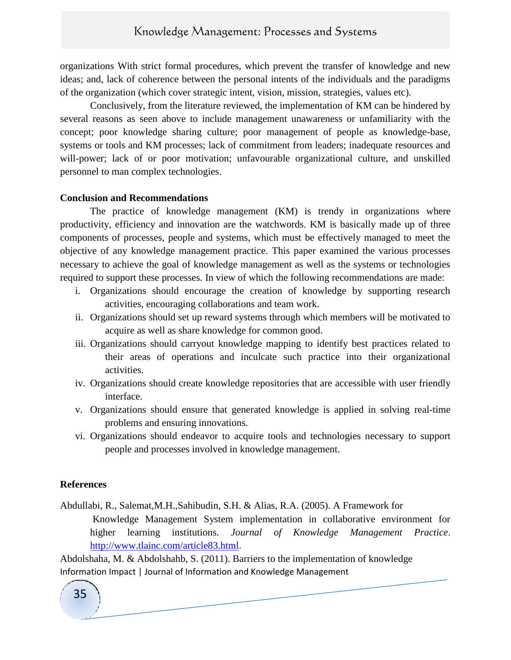organizations With strict formal procedures, which prevent the transfer of knowledge and new ideas; and, lack of coherence between the personal intents of the individuals and the paradigms of the organization (which cover strategic intent, vision, mission, strategies, values etc).

Conclusively, from the literature reviewed, the implementation of KM can be hindered by several reasons as seen above to include management unawareness or unfamiliarity with the concept; poor knowledge sharing culture; poor management of people as knowledge-base, systems or tools and KM processes; lack of commitment from leaders; inadequate resources and will-power; lack of or poor motivation; unfavourable organizational culture, and unskilled personnel to man complex technologies.

#### **Conclusion and Recommendations**

The practice of knowledge management (KM) is trendy in organizations where productivity, efficiency and innovation are the watchwords. KM is basically made up of three components of processes, people and systems, which must be effectively managed to meet the objective of any knowledge management practice. This paper examined the various processes necessary to achieve the goal of knowledge management as well as the systems or technologies required to support these processes. In view of which the following recommendations are made:

- i. Organizations should encourage the creation of knowledge by supporting research activities, encouraging collaborations and team work.
- ii. Organizations should set up reward systems through which members will be motivated to acquire as well as share knowledge for common good.
- iii. Organizations should carryout knowledge mapping to identify best practices related to their areas of operations and inculcate such practice into their organizational activities.
- iv. Organizations should create knowledge repositories that are accessible with user friendly interface.
- v. Organizations should ensure that generated knowledge is applied in solving real-time problems and ensuring innovations.
- vi. Organizations should endeavor to acquire tools and technologies necessary to support people and processes involved in knowledge management.

#### **References**

Abdullabi, R., Salemat,M.H.,Sahibudin, S.H. & Alias, R.A. (2005). A Framework for Knowledge Management System implementation in collaborative environment for higher learning institutions. *Journal of Knowledge Management Practice*. [http://www.tlainc.com/article83.html.](http://www.tlainc.com/article83.html)

Information Impact | Journal of Information and Knowledge Management Abdolshaha, M. & Abdolshahb, S. (2011). Barriers to the implementation of knowledge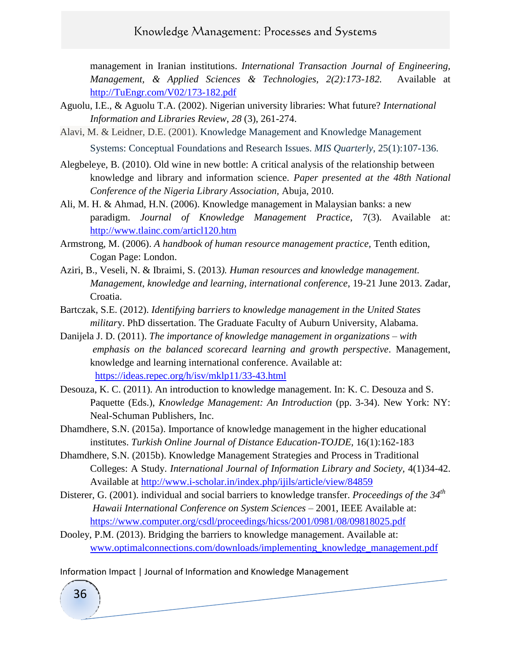management in Iranian institutions. *International Transaction Journal of Engineering, Management, & Applied Sciences & Technologies, 2(2):173-182.* Available at [http://TuEngr.com/V02/173-182.pdf](http://tuengr.com/V02/173-182.pdf)

- Aguolu, I.E., & Aguolu T.A. (2002). Nigerian university libraries: What future? *International Information and Libraries Review*, *28* (3), 261-274.
- Alavi, M. & Leidner, D.E. (2001). Knowledge Management and Knowledge Management Systems: Conceptual Foundations and Research Issues. *MIS Quarterly*, 25(1):107-136.
- Alegbeleye, B. (2010). Old wine in new bottle: A critical analysis of the relationship between knowledge and library and information science. *Paper presented at the 48th National Conference of the Nigeria Library Association,* Abuja, 2010.
- Ali, M. H. & Ahmad, H.N. (2006). Knowledge management in Malaysian banks: a new paradigm. *Journal of Knowledge Management Practice*, 7(3). Available at: <http://www.tlainc.com/articl120.htm>
- Armstrong, M. (2006). *A handbook of human resource management practice,* Tenth edition, Cogan Page: London.
- Aziri, B., Veseli, N. & Ibraimi, S. (2013*). Human resources and knowledge management. Management, knowledge and learning, international conference*, 19-21 June 2013. Zadar, Croatia.
- Bartczak, S.E. (2012). *Identifying barriers to knowledge management in the United States militar*y. PhD dissertation. The Graduate Faculty of Auburn University, Alabama.
- Danijela J. D. (2011). *The importance of knowledge management in organizations – with emphasis on the balanced scorecard learning and growth perspective*. Management, knowledge and learning international conference. Available at: <https://ideas.repec.org/h/isv/mklp11/33-43.html>
- Desouza, K. C. (2011). An introduction to knowledge management. In: K. C. Desouza and S. Paquette (Eds.), *Knowledge Management: An Introduction* (pp. 3-34). New York: NY: Neal-Schuman Publishers, Inc.
- Dhamdhere, S.N. (2015a). Importance of knowledge management in the higher educational institutes. *Turkish Online Journal of Distance Education-TOJDE,* 16(1):162-183
- [Dhamdhere,](http://www.i-scholar.in/index.php/ijils/search/authors/view?firstName=Sangeeta%20N.&middleName=&lastName=Dhamdhere&affiliation=Modern%20College%20of%20Arts,%20Science%20and%20Commerce,%20Ganeshkhind,%20Pune,%20Maharashtra&country=IN) S.N. (2015b). Knowledge Management Strategies and Process in Traditional Colleges: A Study. *International Journal of Information Library and Society,* 4(1)34-42. Available at<http://www.i-scholar.in/index.php/ijils/article/view/84859>
- Disterer, G. (2001). individual and social barriers to knowledge transfer. *Proceedings of the 34th Hawaii International Conference on System Sciences* – 2001, IEEE Available at: <https://www.computer.org/csdl/proceedings/hicss/2001/0981/08/09818025.pdf>
- Dooley, P.M. (2013). Bridging the barriers to knowledge management. Available at: [www.optimalconnections.com/downloads/implementing\\_knowledge\\_management.pdf](http://www.optimalconnections.com/downloads/implementing_knowledge_management.pdf)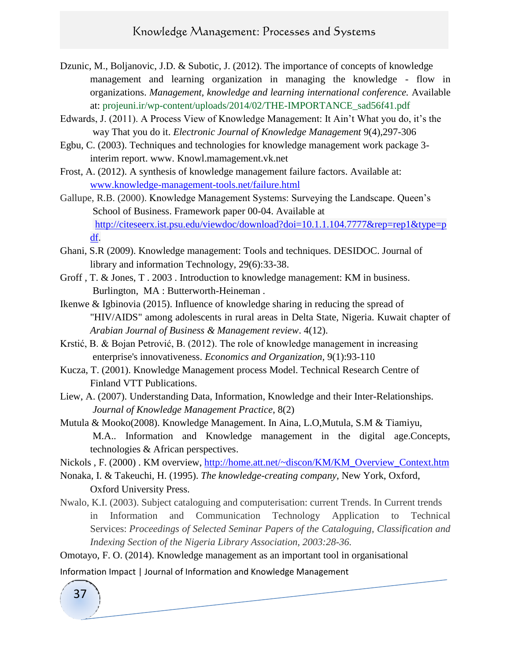- Dzunic, M., Boljanovic, J.D. & Subotic, J. (2012). The importance of concepts of knowledge management and learning organization in managing the knowledge - flow in organizations. *Management, knowledge and learning international conference.* Available at: projeuni.ir/wp-content/uploads/2014/02/THE-IMPORTANCE\_sad56f41.pdf
- Edwards, J. (2011). A Process View of Knowledge Management: It Ain't What you do, it's the way That you do it. *Electronic Journal of Knowledge Management* 9(4),297-306
- Egbu, C. (2003). Techniques and technologies for knowledge management work package 3 interim report. www. Knowl.mamagement.vk.net
- Frost, A. (2012). A synthesis of knowledge management failure factors. Available at: [www.knowledge-management-tools.net/failure.html](http://www.knowledge-management-tools.net/failure.html)
- Gallupe, R.B. (2000). Knowledge Management Systems: Surveying the Landscape. Queen's School of Business. Framework paper 00-04. Available at [http://citeseerx.ist.psu.edu/viewdoc/download?doi=10.1.1.104.7777&rep=rep1&type=p](http://citeseerx.ist.psu.edu/viewdoc/download?doi=10.1.1.104.7777&rep=rep1&type=pdf) [df.](http://citeseerx.ist.psu.edu/viewdoc/download?doi=10.1.1.104.7777&rep=rep1&type=pdf)
- Ghani, S.R (2009). Knowledge management: Tools and techniques. DESIDOC. Journal of library and information Technology, 29(6):33-38.
- Groff , T. & Jones, T . 2003 . Introduction to knowledge management: KM in business. Burlington, MA : Butterworth-Heineman .
- Ikenwe & Igbinovia (2015). Influence of knowledge sharing in reducing the spread of "HIV/AIDS" among adolescents in rural areas in Delta State, Nigeria. Kuwait chapter of *Arabian Journal of Business & Management review*. 4(12).
- Krstić, B. & Bojan Petrović, B. (2012). The role of knowledge management in increasing enterprise's innovativeness. *Economics and Organization,* 9(1):93-110
- Kucza, T. (2001). Knowledge Management process Model. Technical Research Centre of Finland VTT Publications.
- Liew, A. (2007). Understanding Data, Information, Knowledge and their Inter-Relationships. *Journal of Knowledge Management Practice*, 8(2)
- Mutula & Mooko(2008). Knowledge Management. In Aina, L.O,Mutula, S.M & Tiamiyu, M.A.. Information and Knowledge management in the digital age.Concepts, technologies & African perspectives.
- Nickols , F. (2000) . KM overview, [http://home.att.net/~discon/KM/KM\\_Overview\\_Context.htm](http://home.att.net/~discon/KM/KM_Overview_Context.htm)
- Nonaka, I. & Takeuchi, H. (1995). *The knowledge-creating company,* New York, Oxford, Oxford University Press.
- Nwalo, K.I. (2003). Subject cataloguing and computerisation: current Trends. In Current trends in Information and Communication Technology Application to Technical Services: *Proceedings of Selected Seminar Papers of the Cataloguing, Classification and Indexing Section of the Nigeria Library Association, 2003:28-36.*

Omotayo, F. O. (2014). Knowledge management as an important tool in organisational